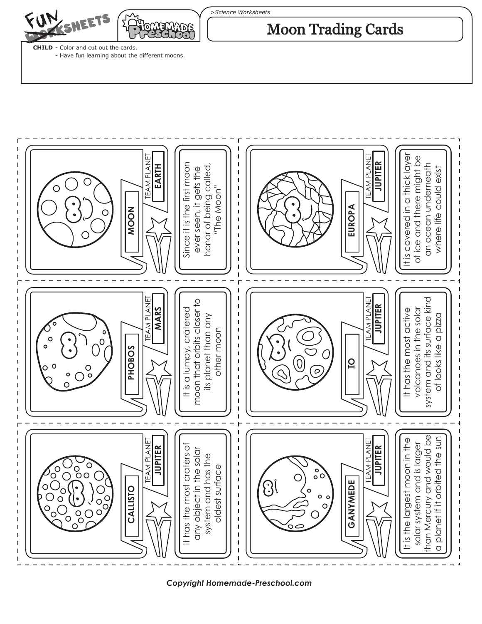